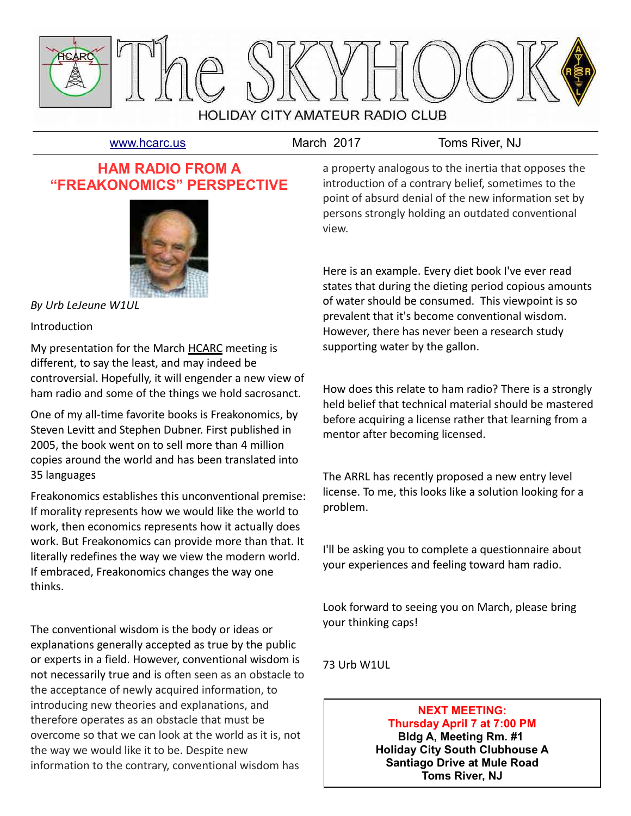

[www.hcarc.us](http://www.hcarc.us/) March 2017 Toms River, NJ

## **HAM RADIO FROM A "FREAKONOMICS" PERSPECTIVE**



*By Urb LeJeune W1UL*

## Introduction

My presentation for the March HCARC meeting is different, to say the least, and may indeed be controversial. Hopefully, it will engender a new view of ham radio and some of the things we hold sacrosanct.

One of my all-time favorite books is Freakonomics, by Steven Levitt and Stephen Dubner. First published in 2005, the book went on to sell more than 4 million copies around the world and has been translated into 35 languages

Freakonomics establishes this unconventional premise: If morality represents how we would like the world to work, then economics represents how it actually does work. But Freakonomics can provide more than that. It literally redefines the way we view the modern world. If embraced, Freakonomics changes the way one thinks.

The conventional wisdom is the body or ideas or explanations generally accepted as true by the public or experts in a field. However, conventional wisdom is not necessarily true and is often seen as an obstacle to the acceptance of newly acquired information, to introducing new theories and explanations, and therefore operates as an obstacle that must be overcome so that we can look at the world as it is, not the way we would like it to be. Despite new information to the contrary, conventional wisdom has

a property analogous to the inertia that opposes the introduction of a contrary belief, sometimes to the point of absurd denial of the new information set by persons strongly holding an outdated conventional view.

Here is an example. Every diet book I've ever read states that during the dieting period copious amounts of water should be consumed. This viewpoint is so prevalent that it's become conventional wisdom. However, there has never been a research study supporting water by the gallon.

How does this relate to ham radio? There is a strongly held belief that technical material should be mastered before acquiring a license rather that learning from a mentor after becoming licensed.

The ARRL has recently proposed a new entry level license. To me, this looks like a solution looking for a problem.

I'll be asking you to complete a questionnaire about your experiences and feeling toward ham radio.

Look forward to seeing you on March, please bring your thinking caps!

73 Urb W1UL

**NEXT MEETING: Thursday April 7 at 7:00 PM Bldg A, Meeting Rm. #1 Holiday City South Clubhouse A Santiago Drive at Mule Road Toms River, NJ**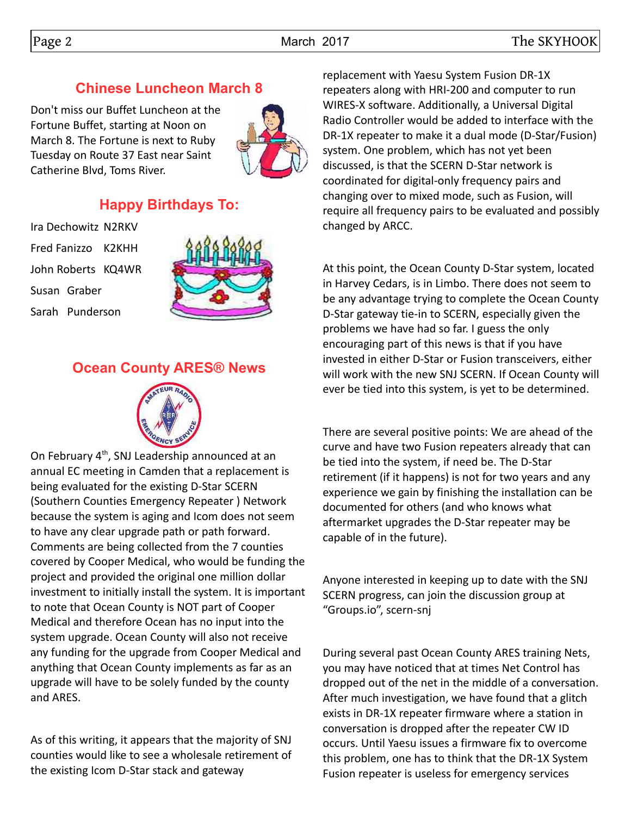## **Chinese Luncheon March 8**

Don't miss our Buffet Luncheon at the Fortune Buffet, starting at Noon on March 8. The Fortune is next to Ruby Tuesday on Route 37 East near Saint Catherine Blvd, Toms River.



## **Happy Birthdays To:**

Ira Dechowitz N2RKV Fred Fanizzo K2KHH John Roberts KQ4WR Susan Graber Sarah Punderson



## **Ocean County ARES® News**



On February 4<sup>th</sup>, SNJ Leadership announced at an annual EC meeting in Camden that a replacement is being evaluated for the existing D-Star SCERN (Southern Counties Emergency Repeater ) Network because the system is aging and Icom does not seem to have any clear upgrade path or path forward. Comments are being collected from the 7 counties covered by Cooper Medical, who would be funding the project and provided the original one million dollar investment to initially install the system. It is important to note that Ocean County is NOT part of Cooper Medical and therefore Ocean has no input into the system upgrade. Ocean County will also not receive any funding for the upgrade from Cooper Medical and anything that Ocean County implements as far as an upgrade will have to be solely funded by the county and ARES.

As of this writing, it appears that the majority of SNJ counties would like to see a wholesale retirement of the existing Icom D-Star stack and gateway

replacement with Yaesu System Fusion DR-1X repeaters along with HRI-200 and computer to run WIRES-X software. Additionally, a Universal Digital Radio Controller would be added to interface with the DR-1X repeater to make it a dual mode (D-Star/Fusion) system. One problem, which has not yet been discussed, is that the SCERN D-Star network is coordinated for digital-only frequency pairs and changing over to mixed mode, such as Fusion, will require all frequency pairs to be evaluated and possibly changed by ARCC.

At this point, the Ocean County D-Star system, located in Harvey Cedars, is in Limbo. There does not seem to be any advantage trying to complete the Ocean County D-Star gateway tie-in to SCERN, especially given the problems we have had so far. I guess the only encouraging part of this news is that if you have invested in either D-Star or Fusion transceivers, either will work with the new SNJ SCERN. If Ocean County will ever be tied into this system, is yet to be determined.

There are several positive points: We are ahead of the curve and have two Fusion repeaters already that can be tied into the system, if need be. The D-Star retirement (if it happens) is not for two years and any experience we gain by finishing the installation can be documented for others (and who knows what aftermarket upgrades the D-Star repeater may be capable of in the future).

Anyone interested in keeping up to date with the SNJ SCERN progress, can join the discussion group at "Groups.io", scern-snj

During several past Ocean County ARES training Nets, you may have noticed that at times Net Control has dropped out of the net in the middle of a conversation. After much investigation, we have found that a glitch exists in DR-1X repeater firmware where a station in conversation is dropped after the repeater CW ID occurs. Until Yaesu issues a firmware fix to overcome this problem, one has to think that the DR-1X System Fusion repeater is useless for emergency services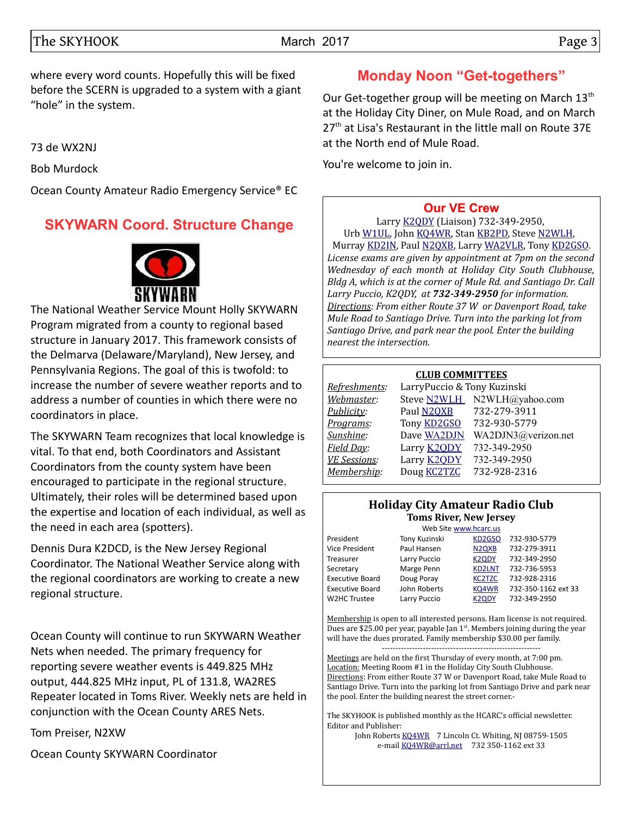where every word counts. Hopefully this will be fixed before the SCERN is upgraded to a system with a giant "hole" in the system.

73 de WX2NJ

Bob Murdock

Ocean County Amateur Radio Emergency Service® EC

## **SKYWARN Coord. Structure Change**



The National Weather Service Mount Holly SKYWARN Program migrated from a county to regional based structure in January 2017. This framework consists of the Delmarva (Delaware/Maryland), New Jersey, and Pennsylvania Regions. The goal of this is twofold: to increase the number of severe weather reports and to address a number of counties in which there were no coordinators in place.

The SKYWARN Team recognizes that local knowledge is vital. To that end, both Coordinators and Assistant Coordinators from the county system have been encouraged to participate in the regional structure. Ultimately, their roles will be determined based upon the expertise and location of each individual, as well as the need in each area (spotters).

Dennis Dura K2DCD, is the New Jersey Regional Coordinator. The National Weather Service along with the regional coordinators are working to create a new regional structure.

Ocean County will continue to run SKYWARN Weather Nets when needed. The primary frequency for reporting severe weather events is 449.825 MHz output, 444.825 MHz input, PL of 131.8, WA2RES Repeater located in Toms River. Weekly nets are held in conjunction with the Ocean County ARES Nets.

Tom Preiser, N2XW

Ocean County SKYWARN Coordinator

## **Monday Noon "Get-togethers"**

Our Get-together group will be meeting on March 13<sup>th</sup> at the Holiday City Diner, on Mule Road, and on March  $27<sup>th</sup>$  at Lisa's Restaurant in the little mall on Route 37E at the North end of Mule Road.

You're welcome to join in.

### **[Our VE Crew](mailto:lpuccio1@comcast.net?subject=VE)**

Larry [K2QDY](mailto:lpuccio1@comcast.net) (Liaison) 732-349-2950, Urb [W1UL,](mailto:urb@W1UL.com) John [KQ4WR,](mailto:kq4wr@arrl.net) Stan [KB2PD,](mailto:kb2pd@hotmail.com) Steve [N2WLH,](mailto:n2wlh@yahoo.com) Murray [KD2IN,](mailto:murraykd2in@comcast.net) Paul [N2QXB,](mailto:n2qxb@juno.com) Larry [WA2VLR,](mailto:lloscalz@optonline.net) Tony [KD2GSO.](mailto:tonyk613@comcast.net) *License exams are given by appointment at 7pm on the second Wednesday of each month at Holiday City South Clubhouse, Bldg A, which is at the corner of Mule Rd. and Santiago Dr. Call Larry Puccio, K2QDY, at 732-349-2950 for information. Directions: From either Route 37 W or Davenport Road, take Mule Road to Santiago Drive. Turn into the parking lot from Santiago Drive, and park near the pool. Enter the building nearest the intersection.*

#### **CLUB COMMITTEES**

| Refreshments:       | LarryPuccio & Tony Kuzinski |                             |  |  |  |  |  |
|---------------------|-----------------------------|-----------------------------|--|--|--|--|--|
| Webmaster:          |                             | Steve N2WLH N2WLH@yahoo.com |  |  |  |  |  |
| Publicity:          | Paul N2QXB                  | 732-279-3911                |  |  |  |  |  |
| Programs:           | Tony <b>KD2GSO</b>          | 732-930-5779                |  |  |  |  |  |
| Sunshine:           | Dave WA2DJN                 | WA2DJN3@verizon.net         |  |  |  |  |  |
| Field Day:          | Larry <b>K2QDY</b>          | 732-349-2950                |  |  |  |  |  |
| <b>VE Sessions:</b> | Larry <b>K2ODY</b>          | 732-349-2950                |  |  |  |  |  |
| Membership:         | Doug <b>KC2TZC</b>          | 732-928-2316                |  |  |  |  |  |
|                     |                             |                             |  |  |  |  |  |

#### **Holiday City Amateur Radio Club Toms River, New Jersey**

|                        | Web Site www.hcarc.us |                                |                     |
|------------------------|-----------------------|--------------------------------|---------------------|
| President              | Tony Kuzinski         | KD <sub>2</sub> GSO            | 732-930-5779        |
| Vice President         | Paul Hansen           | N <sub>2Q</sub> X <sub>B</sub> | 732-279-3911        |
| Treasurer              | Larry Puccio          | <b>K2QDY</b>                   | 732-349-2950        |
| Secretary              | Marge Penn            | <b>KD2LNT</b>                  | 732-736-5953        |
| <b>Executive Board</b> | Doug Poray            | <b>KC2TZC</b>                  | 732-928-2316        |
| <b>Executive Board</b> | John Roberts          | KQ4WR                          | 732-350-1162 ext 33 |
| W2HC Trustee           | Larry Puccio          | K <sub>2</sub> ODY             | 732-349-2950        |
|                        |                       |                                |                     |

Membership is open to all interested persons. Ham license is not required. Dues are \$25.00 per year, payable Jan 1<sup>st</sup>. Members joining during the year will have the dues prorated. Family membership \$30.00 per family. ----------------------------------------------------------

Meetings are held on the first Thursday of every month, at 7:00 pm. Location: Meeting Room #1 in the Holiday City South Clubhouse. Directions: From either Route 37 W or Davenport Road, take Mule Road to Santiago Drive. Turn into the parking lot from Santiago Drive and park near the pool. Enter the building nearest the street corner.-

The SKYHOOK is published monthly as the HCARC's official newsletter. Editor and Publisher:

John Roberts [KQ4WR](mailto:kq4wr@arrl.net) 7 Lincoln Ct. Whiting, NJ 08759-1505 e-mail [KQ4WR@arrl.net](mailto:KQ4WR@arrl.net) 732 350-1162 ext 33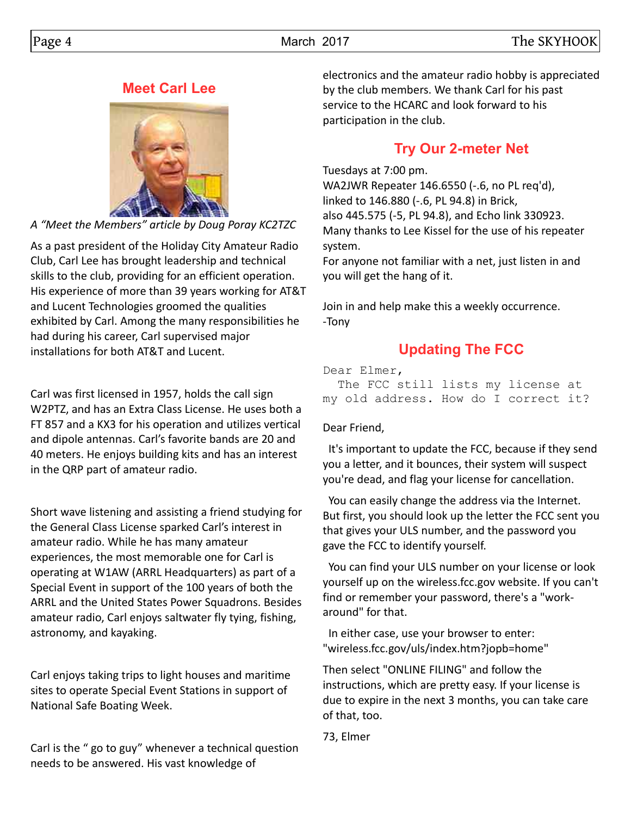## **Meet Carl Lee**



*A "Meet the Members" article by Doug Poray KC2TZC*

As a past president of the Holiday City Amateur Radio Club, Carl Lee has brought leadership and technical skills to the club, providing for an efficient operation. His experience of more than 39 years working for AT&T and Lucent Technologies groomed the qualities exhibited by Carl. Among the many responsibilities he had during his career, Carl supervised major installations for both AT&T and Lucent.

Carl was first licensed in 1957, holds the call sign W2PTZ, and has an Extra Class License. He uses both a FT 857 and a KX3 for his operation and utilizes vertical and dipole antennas. Carl's favorite bands are 20 and 40 meters. He enjoys building kits and has an interest in the QRP part of amateur radio.

Short wave listening and assisting a friend studying for the General Class License sparked Carl's interest in amateur radio. While he has many amateur experiences, the most memorable one for Carl is operating at W1AW (ARRL Headquarters) as part of a Special Event in support of the 100 years of both the ARRL and the United States Power Squadrons. Besides amateur radio, Carl enjoys saltwater fly tying, fishing, astronomy, and kayaking.

Carl enjoys taking trips to light houses and maritime sites to operate Special Event Stations in support of National Safe Boating Week.

Carl is the " go to guy" whenever a technical question needs to be answered. His vast knowledge of

electronics and the amateur radio hobby is appreciated by the club members. We thank Carl for his past service to the HCARC and look forward to his participation in the club.

# **Try Our 2-meter Net**

Tuesdays at 7:00 pm. WA2JWR Repeater 146.6550 (-.6, no PL req'd), linked to 146.880 (-.6, PL 94.8) in Brick, also 445.575 (-5, PL 94.8), and Echo link 330923. Many thanks to Lee Kissel for the use of his repeater system.

For anyone not familiar with a net, just listen in and you will get the hang of it.

Join in and help make this a weekly occurrence. -Tony

# **Updating The FCC**

Dear Elmer,

 The FCC still lists my license at my old address. How do I correct it?

Dear Friend,

 It's important to update the FCC, because if they send you a letter, and it bounces, their system will suspect you're dead, and flag your license for cancellation.

 You can easily change the address via the Internet. But first, you should look up the letter the FCC sent you that gives your ULS number, and the password you gave the FCC to identify yourself.

 You can find your ULS number on your license or look yourself up on the wireless.fcc.gov website. If you can't find or remember your password, there's a "workaround" for that.

 In either case, use your browser to enter: "wireless.fcc.gov/uls/index.htm?jopb=home"

Then select "ONLINE FILING" and follow the instructions, which are pretty easy. If your license is due to expire in the next 3 months, you can take care of that, too.

73, Elmer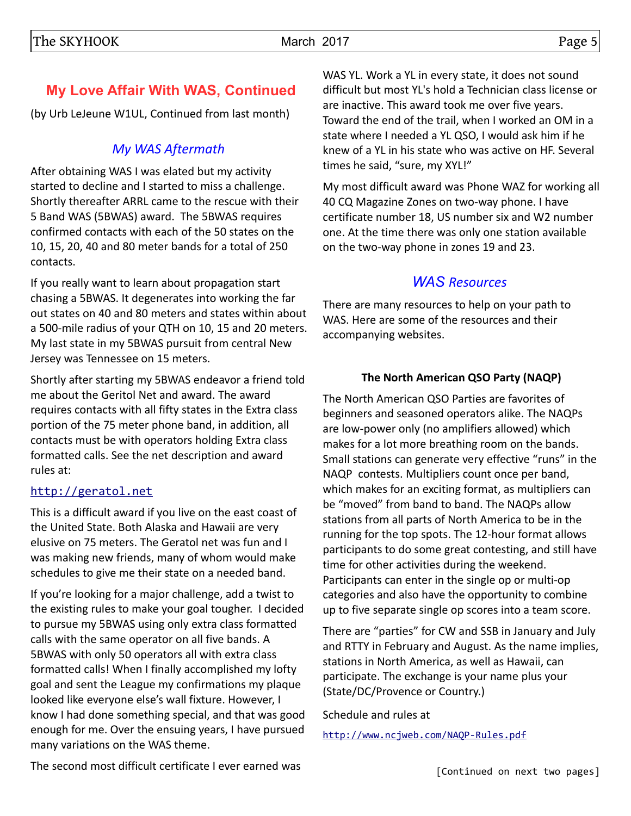## **My Love Affair With WAS, Continued**

(by Urb LeJeune W1UL, Continued from last month)

## *My WAS Aftermath*

After obtaining WAS I was elated but my activity started to decline and I started to miss a challenge. Shortly thereafter ARRL came to the rescue with their 5 Band WAS (5BWAS) award. The 5BWAS requires confirmed contacts with each of the 50 states on the 10, 15, 20, 40 and 80 meter bands for a total of 250 contacts.

If you really want to learn about propagation start chasing a 5BWAS. It degenerates into working the far out states on 40 and 80 meters and states within about a 500-mile radius of your QTH on 10, 15 and 20 meters. My last state in my 5BWAS pursuit from central New Jersey was Tennessee on 15 meters.

Shortly after starting my 5BWAS endeavor a friend told me about the Geritol Net and award. The award requires contacts with all fifty states in the Extra class portion of the 75 meter phone band, in addition, all contacts must be with operators holding Extra class formatted calls. See the net description and award rules at:

## [http://geratol.net](http://geratol.net/)

This is a difficult award if you live on the east coast of the United State. Both Alaska and Hawaii are very elusive on 75 meters. The Geratol net was fun and I was making new friends, many of whom would make schedules to give me their state on a needed band.

If you're looking for a major challenge, add a twist to the existing rules to make your goal tougher. I decided to pursue my 5BWAS using only extra class formatted calls with the same operator on all five bands. A 5BWAS with only 50 operators all with extra class formatted calls! When I finally accomplished my lofty goal and sent the League my confirmations my plaque looked like everyone else's wall fixture. However, I know I had done something special, and that was good enough for me. Over the ensuing years, I have pursued many variations on the WAS theme.

WAS YL. Work a YL in every state, it does not sound difficult but most YL's hold a Technician class license or are inactive. This award took me over five years. Toward the end of the trail, when I worked an OM in a state where I needed a YL QSO, I would ask him if he knew of a YL in his state who was active on HF. Several times he said, "sure, my XYL!"

My most difficult award was Phone WAZ for working all 40 CQ Magazine Zones on two-way phone. I have certificate number 18, US number six and W2 number one. At the time there was only one station available on the two-way phone in zones 19 and 23.

## *WAS Resources*

There are many resources to help on your path to WAS. Here are some of the resources and their accompanying websites.

## **The North American QSO Party (NAQP)**

The North American QSO Parties are favorites of beginners and seasoned operators alike. The NAQPs are low-power only (no amplifiers allowed) which makes for a lot more breathing room on the bands. Small stations can generate very effective "runs" in the NAQP contests. Multipliers count once per band, which makes for an exciting format, as multipliers can be "moved" from band to band. The NAQPs allow stations from all parts of North America to be in the running for the top spots. The 12-hour format allows participants to do some great contesting, and still have time for other activities during the weekend. Participants can enter in the single op or multi-op categories and also have the opportunity to combine up to five separate single op scores into a team score.

There are "parties" for CW and SSB in January and July and RTTY in February and August. As the name implies, stations in North America, as well as Hawaii, can participate. The exchange is your name plus your (State/DC/Provence or Country.)

Schedule and rules at

<http://www.ncjweb.com/NAQP-Rules.pdf>

The second most difficult certificate I ever earned was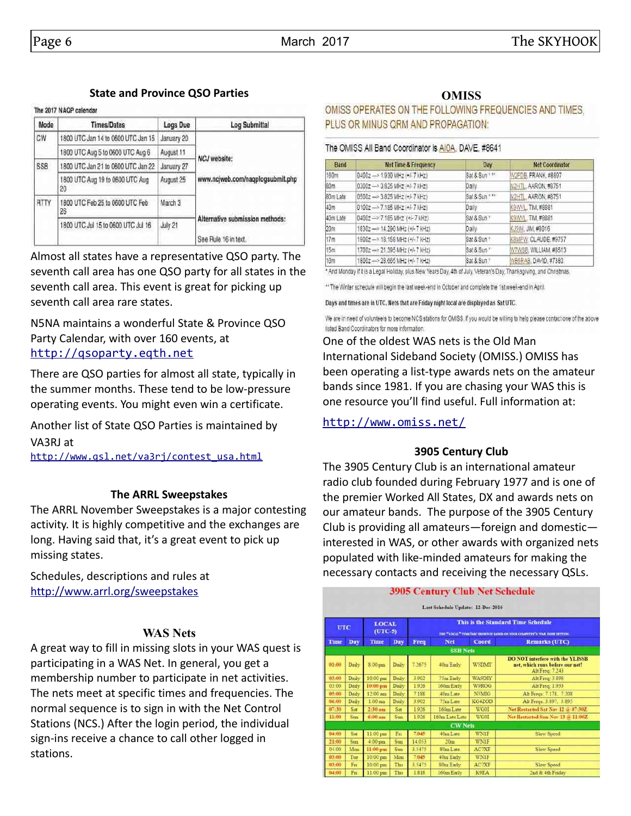#### **State and Province QSO Parties**

#### The 2017 NAOP calendar

| Mode | <b>Times/Dates</b>                    | Logs Due   | <b>Log Submittal</b>                                    |  |
|------|---------------------------------------|------------|---------------------------------------------------------|--|
| CW   | 1800 UTC Jan 14 to 0600 UTC Jan 15    | January 20 |                                                         |  |
|      | 1800 UTC Aug 5 to 0600 UTC Aug 6      | August 11  | <b>NCJ</b> website:                                     |  |
| SSB  | 1800 UTC Jan 21 to 0600 UTC Jan 22    | January 27 |                                                         |  |
|      | 1800 UTC Aug 19 to 0600 UTC Aug<br>20 | August 25  | www.ncjweb.com/nagplogsubmit.php                        |  |
| RTTY | 1800 UTC Feb 25 to 0600 UTC Feb<br>26 | March 3    |                                                         |  |
|      | 1800 UTC Jul 15 to 0600 UTC Jul 16    | July 21    | Alternative submission methods:<br>See Rule 16 in text. |  |

Almost all states have a representative QSO party. The seventh call area has one QSO party for all states in the seventh call area. This event is great for picking up seventh call area rare states.

N5NA maintains a wonderful State & Province QSO Party Calendar, with over 160 events, at [http://qsoparty.eqth.net](http://qsoparty.eqth.net/)

There are QSO parties for almost all state, typically in the summer months. These tend to be low-pressure operating events. You might even win a certificate.

Another list of State QSO Parties is maintained by VA3RJ at

[http://www.qsl.net/va3rj/contest\\_usa.html](http://www.qsl.net/va3rj/contest_usa.html)

#### **The ARRL Sweepstakes**

The ARRL November Sweepstakes is a major contesting activity. It is highly competitive and the exchanges are long. Having said that, it's a great event to pick up missing states.

Schedules, descriptions and rules at <http://www.arrl.org/sweepstakes>

#### **WAS Nets**

A great way to fill in missing slots in your WAS quest is participating in a WAS Net. In general, you get a membership number to participate in net activities. The nets meet at specific times and frequencies. The normal sequence is to sign in with the Net Control Stations (NCS.) After the login period, the individual sign-ins receive a chance to call other logged in stations.

#### **OMISS**

OMISS OPERATES ON THE FOLLOWING FREQUENCIES AND TIMES. PLUS OR MINUS QRM AND PROPAGATION:

#### The OMISS All Band Coordinator is AIOA, DAVE, #8641

| Band            | <b>Net Time &amp; Frequency</b>    | Day           | <b>Net Coordinator</b> |
|-----------------|------------------------------------|---------------|------------------------|
| 160m            | 0400z - 1930 MHz (+/- 7 kHz)       | Sat & Sun *** | M2FDB, FRANK, #8897    |
| 80m             | 0300z - 3.825 MHz (+)-7 KHz)       | Daily         | N2HTL, AARON, #8751    |
| 80m Late        | 0500z -- > 3.825 MHz (+/-7 MHz)    | Sat & Sun *** | N2HTL, AARON, #8751    |
| 40m             | 0100z -> 7.185 MHz (+/- 7 MHz)     | Daily         | K9WVL TIM.#8881        |
| 40m Late        | 04002->7.185 MHz (+/-7 kHz)        | Sat & Sun."   | K9WVL, TIM. #8881      |
| 20 <sub>m</sub> | 1830z -- > 14.290 MHz (+/-7 kHz)   | Daily         | KJ5IM: JIM, #8016      |
| 17m             | 1900z --- > 18.158 MHz (+/-7 kHz)  | Sat & Sun *   | K8MFW, CLAUDE: #9757   |
| 15m             | 1700z --- > 21.395 MHz (+/- 7 KHz) | Sat & Sun *   | M7WS8, WILLIAM, #8513  |
| 10m             | 1800z - 28.665 MHz (+/- 7 kHz)     | Sat & Sun *   | MB6RAB DAVID, #7380    |

And Monday if it is a Legal Holiday, plus New Years Day, 4th of July, Veteran's Day, Thanksgiving, and Christmas.

\*\* The Winter schedule will begin the last week-end in October and complete the 1st week-end in April.

Days and times are in UTC. Nets that are Friday night local are displayed as Sat UTC.

We are in need of volunteers to become NCS stations for OMISS. If you would be willing to help please contact one of the above listed Band Coordinators for more information.

One of the oldest WAS nets is the Old Man International Sideband Society (OMISS.) OMISS has been operating a list-type awards nets on the amateur bands since 1981. If you are chasing your WAS this is one resource you'll find useful. Full information at:

<http://www.omiss.net/>

#### **3905 Century Club**

The 3905 Century Club is an international amateur radio club founded during February 1977 and is one of the premier Worked All States, DX and awards nets on our amateur bands. The purpose of the 3905 Century Club is providing all amateurs—foreign and domestic interested in WAS, or other awards with organized nets populated with like-minded amateurs for making the necessary contacts and receiving the necessary QSLs.

|                                                                                                                                                            |                 |                   |       |        | <b>3905 Century Club Net Schedule</b><br>Last Schedule Update: 12-Dec-2016 |               |                                                                                               |  |  |
|------------------------------------------------------------------------------------------------------------------------------------------------------------|-----------------|-------------------|-------|--------|----------------------------------------------------------------------------|---------------|-----------------------------------------------------------------------------------------------|--|--|
| This is the Standard Time Schedule<br><b>LOCAL</b><br><b>UTC</b><br>$(TTC-5)$<br>THE "LOCAL" TIME THE SHOWN IS BASED ON YOUR COMPLYING'S TIME BOYS SETTING |                 |                   |       |        |                                                                            |               |                                                                                               |  |  |
| Time                                                                                                                                                       | Day             | Time              | Day   | Freq   | Net                                                                        | Coord         | Remarks (UTC)                                                                                 |  |  |
|                                                                                                                                                            | <b>SSB Nets</b> |                   |       |        |                                                                            |               |                                                                                               |  |  |
| 01:00                                                                                                                                                      | Daily           | 8.00 pm           | Daily | 7.2675 | 40m Early                                                                  | W5DMT         | <b>DO NOT interfere with the YLISSB</b><br>net, which runs before our net!<br>Ait Freq: 7.243 |  |  |
| 03:00                                                                                                                                                      | Daily           | 10:00 pm          | Daily | 3.903  | 75m Early                                                                  | <b>WA9DIY</b> | Alt Freq: 3 898                                                                               |  |  |
| 03:00                                                                                                                                                      | Daily           | $10:00~\text{pm}$ | Daily | 1926   | 160m Early                                                                 | W9ROG         | Alt Freq: 1933                                                                                |  |  |
| 05:00                                                                                                                                                      | Daily           | 12:00 am          | Daily | 7.188  | 40m Late                                                                   | N5MIG         | Alt Freqs: 7.178, 7.208                                                                       |  |  |
| 06:00                                                                                                                                                      | Daily           | $1.00$ nm         | Daily | 3.902  | 75m Late                                                                   | KG4ZOD        | Alt Freqs: 3.897, 3.895                                                                       |  |  |
| 07:30                                                                                                                                                      | Sat             | $2-30$ am         | Sat   | 1926   | 160m Late                                                                  | <b>WG01</b>   | Net Restarted Sat Nov 12 to 07:30Z                                                            |  |  |
| 11:00                                                                                                                                                      | Sun             | $6:00~\text{am}$  | Sun   | 1926   | 160m Late Late                                                             | <b>WG01</b>   | Net Restarted San Nov 13 or 11:00Z                                                            |  |  |
|                                                                                                                                                            |                 |                   |       |        | <b>CW</b> Nets                                                             |               |                                                                                               |  |  |
| 04:00                                                                                                                                                      | Sat             | 11:00 pm          | En    | 7,045  | 40m Late                                                                   | WNIF          | Slow Speed                                                                                    |  |  |
| 21:00                                                                                                                                                      | Sun             | 4:00 pm           | Sun   | 14053  | 20m                                                                        | WNIF          |                                                                                               |  |  |
| 04:00                                                                                                                                                      | Mon             | 11:00 pm          | Sun   | 3.5475 | Som Late                                                                   | <b>ACTXF</b>  | Slow Speed                                                                                    |  |  |
| 03:00                                                                                                                                                      | Tue             | 10:00 pm          | Mon   | 7.045  | 40m Early                                                                  | WNIF          |                                                                                               |  |  |
| 03:00                                                                                                                                                      | En              | 10:00 pm          | Thu   | 3.5475 | 80m Early                                                                  | <b>AC7XF</b>  | Slow Speed                                                                                    |  |  |
| 04:00                                                                                                                                                      | Fn              | 11:00 pm          | Thu   | 1818   | 160m Early                                                                 | <b>K9EA</b>   | 2nd & 4th Friday                                                                              |  |  |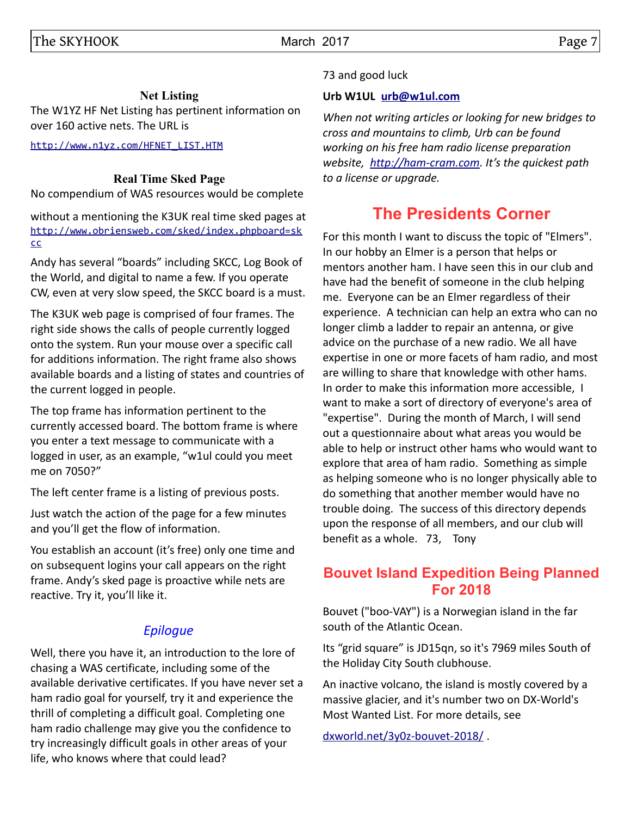## **Net Listing**

The W1YZ HF Net Listing has pertinent information on over 160 active nets. The URL is

[http://www.n1yz.com/HFNET\\_LIST.HTM](http://www.n1yz.com/HFNET_LIST.HTM)

### **Real Time Sked Page**

No compendium of WAS resources would be complete

without a mentioning the K3UK real time sked pages at [http://www.obriensweb.com/sked/index.phpboard=sk](http://www.obriensweb.com/sked/index.php?board=skcc) [cc](http://www.obriensweb.com/sked/index.php?board=skcc)

Andy has several "boards" including SKCC, Log Book of the World, and digital to name a few. If you operate CW, even at very slow speed, the SKCC board is a must.

The K3UK web page is comprised of four frames. The right side shows the calls of people currently logged onto the system. Run your mouse over a specific call for additions information. The right frame also shows available boards and a listing of states and countries of the current logged in people.

The top frame has information pertinent to the currently accessed board. The bottom frame is where you enter a text message to communicate with a logged in user, as an example, "w1ul could you meet me on 7050?"

The left center frame is a listing of previous posts.

Just watch the action of the page for a few minutes and you'll get the flow of information.

You establish an account (it's free) only one time and on subsequent logins your call appears on the right frame. Andy's sked page is proactive while nets are reactive. Try it, you'll like it.

## *Epilogue*

Well, there you have it, an introduction to the lore of chasing a WAS certificate, including some of the available derivative certificates. If you have never set a ham radio goal for yourself, try it and experience the thrill of completing a difficult goal. Completing one ham radio challenge may give you the confidence to try increasingly difficult goals in other areas of your life, who knows where that could lead?

## 73 and good luck

### **Urb W1UL [urb@w1ul.com](mailto:urb@w1ul.com)**

*When not writing articles or looking for new bridges to cross and mountains to climb, Urb can be found working on his free ham radio license preparation website, [http://ham-cram.com.](http://ham-cram.com/) It's the quickest path to a license or upgrade.*

# **The Presidents Corner**

For this month I want to discuss the topic of "Elmers". In our hobby an Elmer is a person that helps or mentors another ham. I have seen this in our club and have had the benefit of someone in the club helping me. Everyone can be an Elmer regardless of their experience. A technician can help an extra who can no longer climb a ladder to repair an antenna, or give advice on the purchase of a new radio. We all have expertise in one or more facets of ham radio, and most are willing to share that knowledge with other hams. In order to make this information more accessible, I want to make a sort of directory of everyone's area of "expertise". During the month of March, I will send out a questionnaire about what areas you would be able to help or instruct other hams who would want to explore that area of ham radio. Something as simple as helping someone who is no longer physically able to do something that another member would have no trouble doing. The success of this directory depends upon the response of all members, and our club will benefit as a whole. 73, Tony

## **Bouvet Island Expedition Being Planned For 2018**

Bouvet ("boo-VAY") is a Norwegian island in the far south of the Atlantic Ocean.

Its "grid square" is JD15qn, so it's 7969 miles South of the Holiday City South clubhouse.

An inactive volcano, the island is mostly covered by a massive glacier, and it's number two on DX-World's Most Wanted List. For more details, see

[dxworld.net/3y0z-bouvet-2018/](http://dxworld.net/3y0z-bouvet-2018/) .